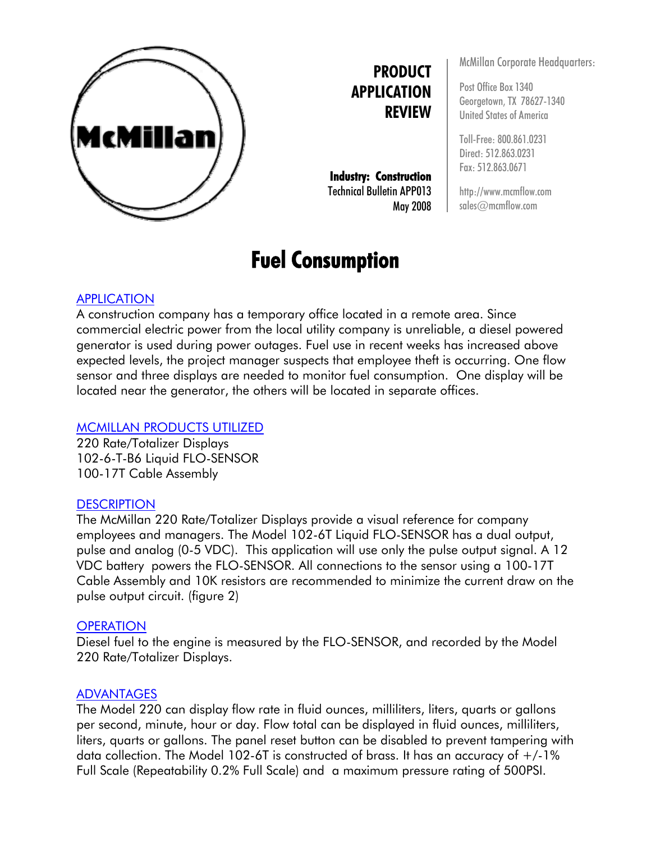

**PRODUCT APPLICATION REVIEW**

**Industry: Construction**  Technical Bulletin APP013 May 2008

# **Fuel Consumption**

McMillan Corporate Headquarters:

Post Office Box 1340 Georgetown, TX 78627-1340 United States of America

Toll-Free: 800.861.0231 Direct: 512.863.0231 Fax: 512.863.0671

http://www.mcmflow.com sales@mcmflow.com

## APPLICATION

A construction company has a temporary office located in a remote area. Since commercial electric power from the local utility company is unreliable, a diesel powered generator is used during power outages. Fuel use in recent weeks has increased above expected levels, the project manager suspects that employee theft is occurring. One flow sensor and three displays are needed to monitor fuel consumption. One display will be located near the generator, the others will be located in separate offices.

#### MCMILLAN PRODUCTS UTILIZED

220 Rate/Totalizer Displays 102-6-T-B6 Liquid FLO-SENSOR 100-17T Cable Assembly

#### **DESCRIPTION**

The McMillan 220 Rate/Totalizer Displays provide a visual reference for company employees and managers. The Model 102-6T Liquid FLO-SENSOR has a dual output, pulse and analog (0-5 VDC). This application will use only the pulse output signal. A 12 VDC battery powers the FLO-SENSOR. All connections to the sensor using a 100-17T Cable Assembly and 10K resistors are recommended to minimize the current draw on the pulse output circuit. (figure 2)

#### **OPERATION**

Diesel fuel to the engine is measured by the FLO-SENSOR, and recorded by the Model 220 Rate/Totalizer Displays.

## ADVANTAGES

The Model 220 can display flow rate in fluid ounces, milliliters, liters, quarts or gallons per second, minute, hour or day. Flow total can be displayed in fluid ounces, milliliters, liters, quarts or gallons. The panel reset button can be disabled to prevent tampering with data collection. The Model 102-6T is constructed of brass. It has an accuracy of  $+/1\%$ Full Scale (Repeatability 0.2% Full Scale) and a maximum pressure rating of 500PSI.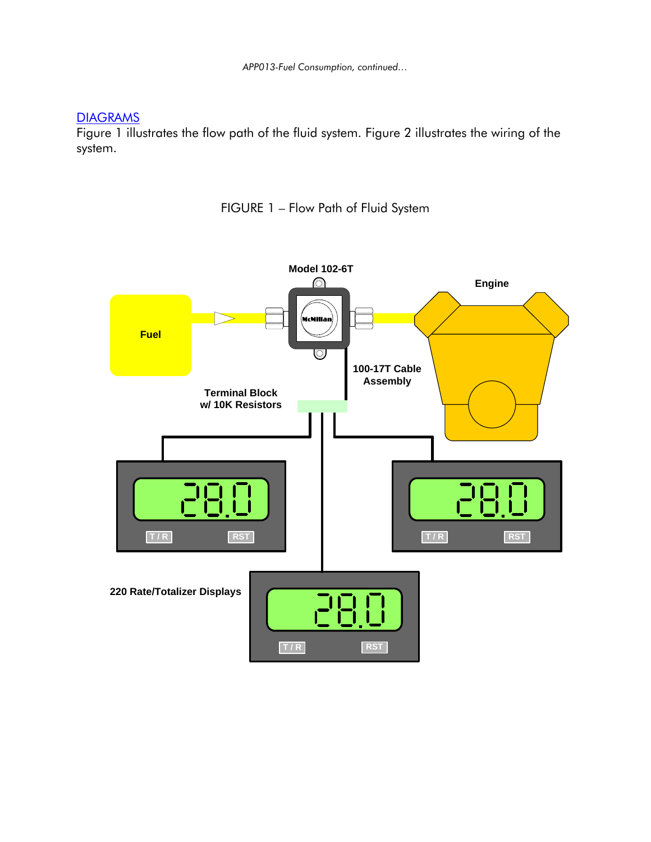*APP013-Fuel Consumption, continued…* 

## **DIAGRAMS**

Figure 1 illustrates the flow path of the fluid system. Figure 2 illustrates the wiring of the system.

FIGURE 1 – Flow Path of Fluid System